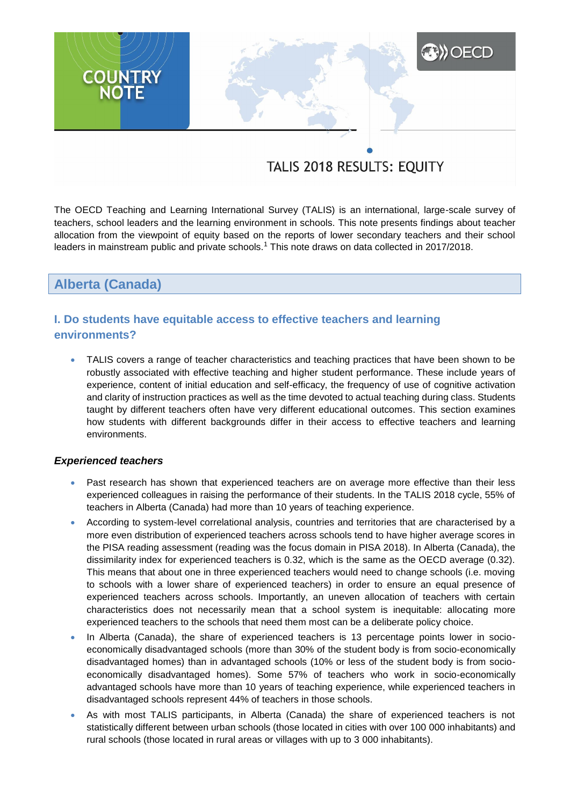# **A)** OECD **COUNTRY**<br>NOTE

# TALIS 2018 RESULTS: EQUITY

The OECD Teaching and Learning International Survey (TALIS) is an international, large-scale survey of teachers, school leaders and the learning environment in schools. This note presents findings about teacher allocation from the viewpoint of equity based on the reports of lower secondary teachers and their school leaders in mainstream public and private schools.<sup>1</sup> This note draws on data collected in 2017/2018.

**Alberta (Canada)**

# **I. Do students have equitable access to effective teachers and learning environments?**

 TALIS covers a range of teacher characteristics and teaching practices that have been shown to be robustly associated with effective teaching and higher student performance. These include years of experience, content of initial education and self-efficacy, the frequency of use of cognitive activation and clarity of instruction practices as well as the time devoted to actual teaching during class. Students taught by different teachers often have very different educational outcomes. This section examines how students with different backgrounds differ in their access to effective teachers and learning environments.

# *Experienced teachers*

- Past research has shown that experienced teachers are on average more effective than their less experienced colleagues in raising the performance of their students. In the TALIS 2018 cycle, 55% of teachers in Alberta (Canada) had more than 10 years of teaching experience.
- According to system-level correlational analysis, countries and territories that are characterised by a more even distribution of experienced teachers across schools tend to have higher average scores in the PISA reading assessment (reading was the focus domain in PISA 2018). In Alberta (Canada), the dissimilarity index for experienced teachers is 0.32, which is the same as the OECD average (0.32). This means that about one in three experienced teachers would need to change schools (i.e. moving to schools with a lower share of experienced teachers) in order to ensure an equal presence of experienced teachers across schools. Importantly, an uneven allocation of teachers with certain characteristics does not necessarily mean that a school system is inequitable: allocating more experienced teachers to the schools that need them most can be a deliberate policy choice.
- In Alberta (Canada), the share of experienced teachers is 13 percentage points lower in socioeconomically disadvantaged schools (more than 30% of the student body is from socio-economically disadvantaged homes) than in advantaged schools (10% or less of the student body is from socioeconomically disadvantaged homes). Some 57% of teachers who work in socio-economically advantaged schools have more than 10 years of teaching experience, while experienced teachers in disadvantaged schools represent 44% of teachers in those schools.
- As with most TALIS participants, in Alberta (Canada) the share of experienced teachers is not statistically different between urban schools (those located in cities with over 100 000 inhabitants) and rural schools (those located in rural areas or villages with up to 3 000 inhabitants).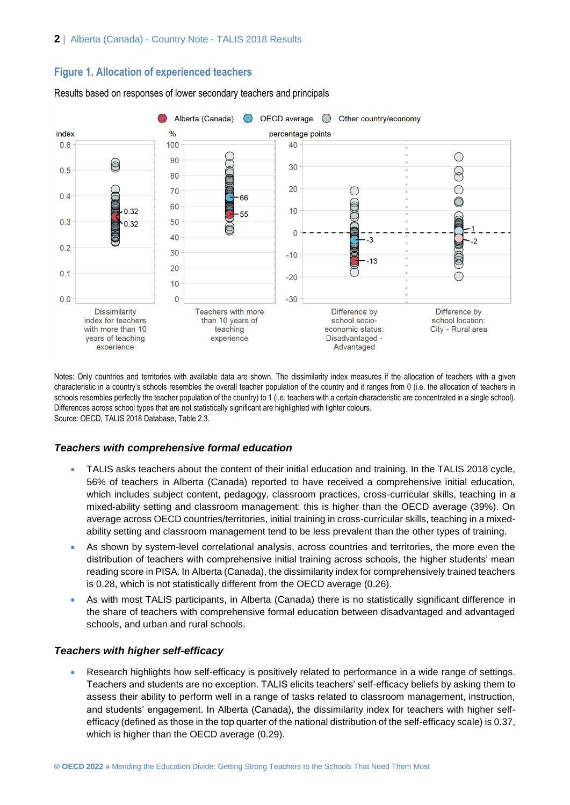# **Figure 1. Allocation of experienced teachers**



Results based on responses of lower secondary teachers and principals

Notes: Only countries and territories with available data are shown. The dissimilarity index measures if the allocation of teachers with a given characteristic in a country's schools resembles the overall teacher population of the country and it ranges from 0 (i.e. the allocation of teachers in schools resembles perfectly the teacher population of the country) to 1 (i.e. teachers with a certain characteristic are concentrated in a single school). Differences across school types that are not statistically significant are highlighted with lighter colours. Source: OECD, TALIS 2018 Database, Table 2.3.

# *Teachers with comprehensive formal education*

- TALIS asks teachers about the content of their initial education and training. In the TALIS 2018 cycle, 56% of teachers in Alberta (Canada) reported to have received a comprehensive initial education, which includes subject content, pedagogy, classroom practices, cross-curricular skills, teaching in a mixed-ability setting and classroom management: this is higher than the OECD average (39%). On average across OECD countries/territories, initial training in cross-curricular skills, teaching in a mixedability setting and classroom management tend to be less prevalent than the other types of training.
- As shown by system-level correlational analysis, across countries and territories, the more even the distribution of teachers with comprehensive initial training across schools, the higher students' mean reading score in PISA. In Alberta (Canada), the dissimilarity index for comprehensively trained teachers is 0.28, which is not statistically different from the OECD average (0.26).
- As with most TALIS participants, in Alberta (Canada) there is no statistically significant difference in the share of teachers with comprehensive formal education between disadvantaged and advantaged schools, and urban and rural schools.

## *Teachers with higher self-efficacy*

 Research highlights how self-efficacy is positively related to performance in a wide range of settings. Teachers and students are no exception. TALIS elicits teachers' self-efficacy beliefs by asking them to assess their ability to perform well in a range of tasks related to classroom management, instruction, and students' engagement. In Alberta (Canada), the dissimilarity index for teachers with higher selfefficacy (defined as those in the top quarter of the national distribution of the self-efficacy scale) is 0.37, which is higher than the OECD average (0.29).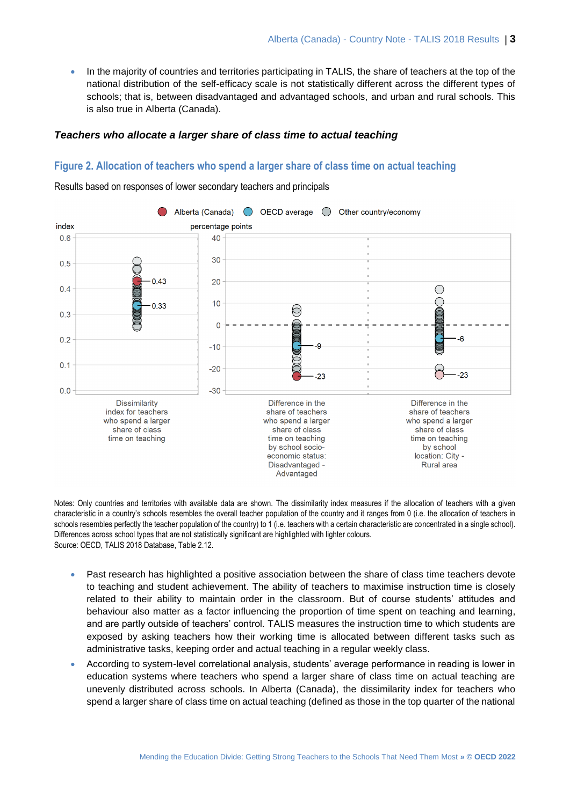In the majority of countries and territories participating in TALIS, the share of teachers at the top of the national distribution of the self-efficacy scale is not statistically different across the different types of schools; that is, between disadvantaged and advantaged schools, and urban and rural schools. This is also true in Alberta (Canada).

# *Teachers who allocate a larger share of class time to actual teaching*

#### **Figure 2. Allocation of teachers who spend a larger share of class time on actual teaching**

Results based on responses of lower secondary teachers and principals



Notes: Only countries and territories with available data are shown. The dissimilarity index measures if the allocation of teachers with a given characteristic in a country's schools resembles the overall teacher population of the country and it ranges from 0 (i.e. the allocation of teachers in schools resembles perfectly the teacher population of the country) to 1 (i.e. teachers with a certain characteristic are concentrated in a single school). Differences across school types that are not statistically significant are highlighted with lighter colours. Source: OECD, TALIS 2018 Database, Table 2.12.

- Past research has highlighted a positive association between the share of class time teachers devote to teaching and student achievement. The ability of teachers to maximise instruction time is closely related to their ability to maintain order in the classroom. But of course students' attitudes and behaviour also matter as a factor influencing the proportion of time spent on teaching and learning, and are partly outside of teachers' control. TALIS measures the instruction time to which students are exposed by asking teachers how their working time is allocated between different tasks such as administrative tasks, keeping order and actual teaching in a regular weekly class.
- According to system-level correlational analysis, students' average performance in reading is lower in education systems where teachers who spend a larger share of class time on actual teaching are unevenly distributed across schools. In Alberta (Canada), the dissimilarity index for teachers who spend a larger share of class time on actual teaching (defined as those in the top quarter of the national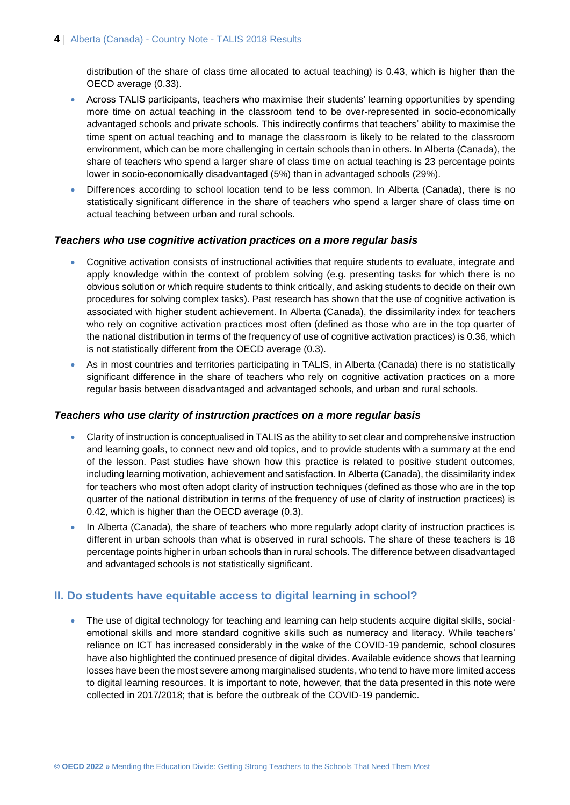distribution of the share of class time allocated to actual teaching) is 0.43, which is higher than the OECD average (0.33).

- Across TALIS participants, teachers who maximise their students' learning opportunities by spending more time on actual teaching in the classroom tend to be over-represented in socio-economically advantaged schools and private schools. This indirectly confirms that teachers' ability to maximise the time spent on actual teaching and to manage the classroom is likely to be related to the classroom environment, which can be more challenging in certain schools than in others. In Alberta (Canada), the share of teachers who spend a larger share of class time on actual teaching is 23 percentage points lower in socio-economically disadvantaged (5%) than in advantaged schools (29%).
- Differences according to school location tend to be less common. In Alberta (Canada), there is no statistically significant difference in the share of teachers who spend a larger share of class time on actual teaching between urban and rural schools.

#### *Teachers who use cognitive activation practices on a more regular basis*

- Cognitive activation consists of instructional activities that require students to evaluate, integrate and apply knowledge within the context of problem solving (e.g. presenting tasks for which there is no obvious solution or which require students to think critically, and asking students to decide on their own procedures for solving complex tasks). Past research has shown that the use of cognitive activation is associated with higher student achievement. In Alberta (Canada), the dissimilarity index for teachers who rely on cognitive activation practices most often (defined as those who are in the top quarter of the national distribution in terms of the frequency of use of cognitive activation practices) is 0.36, which is not statistically different from the OECD average (0.3).
- As in most countries and territories participating in TALIS, in Alberta (Canada) there is no statistically significant difference in the share of teachers who rely on cognitive activation practices on a more regular basis between disadvantaged and advantaged schools, and urban and rural schools.

#### *Teachers who use clarity of instruction practices on a more regular basis*

- Clarity of instruction is conceptualised in TALIS as the ability to set clear and comprehensive instruction and learning goals, to connect new and old topics, and to provide students with a summary at the end of the lesson. Past studies have shown how this practice is related to positive student outcomes, including learning motivation, achievement and satisfaction. In Alberta (Canada), the dissimilarity index for teachers who most often adopt clarity of instruction techniques (defined as those who are in the top quarter of the national distribution in terms of the frequency of use of clarity of instruction practices) is 0.42, which is higher than the OECD average (0.3).
- In Alberta (Canada), the share of teachers who more regularly adopt clarity of instruction practices is different in urban schools than what is observed in rural schools. The share of these teachers is 18 percentage points higher in urban schools than in rural schools. The difference between disadvantaged and advantaged schools is not statistically significant.

# **II. Do students have equitable access to digital learning in school?**

 The use of digital technology for teaching and learning can help students acquire digital skills, socialemotional skills and more standard cognitive skills such as numeracy and literacy. While teachers' reliance on ICT has increased considerably in the wake of the COVID-19 pandemic, school closures have also highlighted the continued presence of digital divides. Available evidence shows that learning losses have been the most severe among marginalised students, who tend to have more limited access to digital learning resources. It is important to note, however, that the data presented in this note were collected in 2017/2018; that is before the outbreak of the COVID-19 pandemic.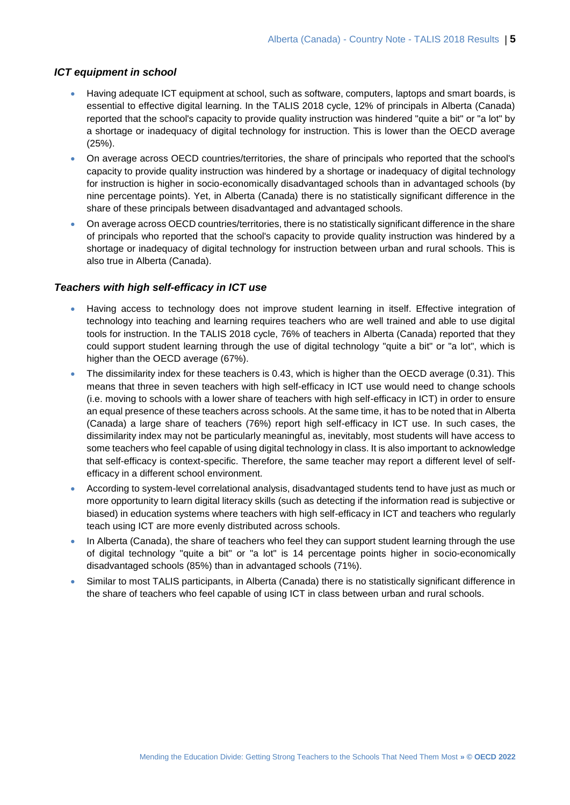#### *ICT equipment in school*

- Having adequate ICT equipment at school, such as software, computers, laptops and smart boards, is essential to effective digital learning. In the TALIS 2018 cycle, 12% of principals in Alberta (Canada) reported that the school's capacity to provide quality instruction was hindered "quite a bit" or "a lot" by a shortage or inadequacy of digital technology for instruction. This is lower than the OECD average (25%).
- On average across OECD countries/territories, the share of principals who reported that the school's capacity to provide quality instruction was hindered by a shortage or inadequacy of digital technology for instruction is higher in socio-economically disadvantaged schools than in advantaged schools (by nine percentage points). Yet, in Alberta (Canada) there is no statistically significant difference in the share of these principals between disadvantaged and advantaged schools.
- On average across OECD countries/territories, there is no statistically significant difference in the share of principals who reported that the school's capacity to provide quality instruction was hindered by a shortage or inadequacy of digital technology for instruction between urban and rural schools. This is also true in Alberta (Canada).

# *Teachers with high self-efficacy in ICT use*

- Having access to technology does not improve student learning in itself. Effective integration of technology into teaching and learning requires teachers who are well trained and able to use digital tools for instruction. In the TALIS 2018 cycle, 76% of teachers in Alberta (Canada) reported that they could support student learning through the use of digital technology "quite a bit" or "a lot", which is higher than the OECD average (67%).
- The dissimilarity index for these teachers is 0.43, which is higher than the OECD average (0.31). This means that three in seven teachers with high self-efficacy in ICT use would need to change schools (i.e. moving to schools with a lower share of teachers with high self-efficacy in ICT) in order to ensure an equal presence of these teachers across schools. At the same time, it has to be noted that in Alberta (Canada) a large share of teachers (76%) report high self-efficacy in ICT use. In such cases, the dissimilarity index may not be particularly meaningful as, inevitably, most students will have access to some teachers who feel capable of using digital technology in class. It is also important to acknowledge that self-efficacy is context-specific. Therefore, the same teacher may report a different level of selfefficacy in a different school environment.
- According to system-level correlational analysis, disadvantaged students tend to have just as much or more opportunity to learn digital literacy skills (such as detecting if the information read is subjective or biased) in education systems where teachers with high self-efficacy in ICT and teachers who regularly teach using ICT are more evenly distributed across schools.
- In Alberta (Canada), the share of teachers who feel they can support student learning through the use of digital technology "quite a bit" or "a lot" is 14 percentage points higher in socio-economically disadvantaged schools (85%) than in advantaged schools (71%).
- Similar to most TALIS participants, in Alberta (Canada) there is no statistically significant difference in the share of teachers who feel capable of using ICT in class between urban and rural schools.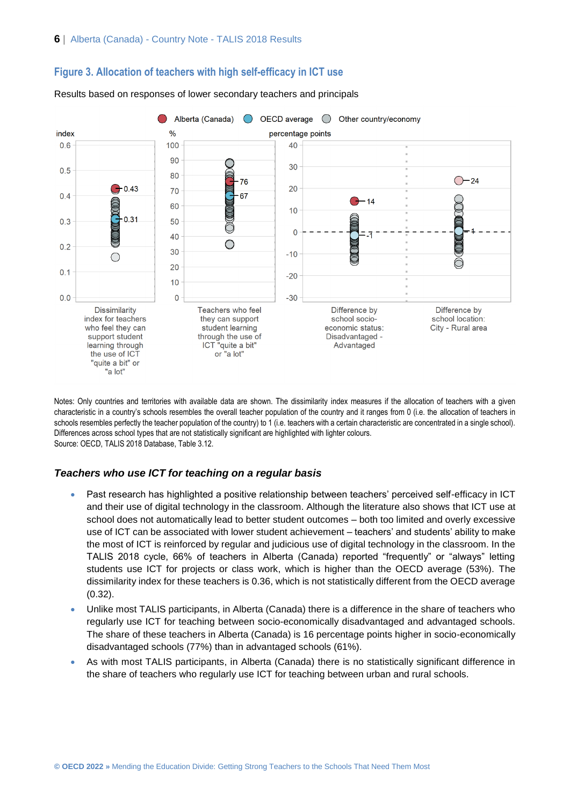

#### **Figure 3. Allocation of teachers with high self-efficacy in ICT use**

Results based on responses of lower secondary teachers and principals

Notes: Only countries and territories with available data are shown. The dissimilarity index measures if the allocation of teachers with a given characteristic in a country's schools resembles the overall teacher population of the country and it ranges from 0 (i.e. the allocation of teachers in schools resembles perfectly the teacher population of the country) to 1 (i.e. teachers with a certain characteristic are concentrated in a single school). Differences across school types that are not statistically significant are highlighted with lighter colours. Source: OECD, TALIS 2018 Database, Table 3.12.

#### *Teachers who use ICT for teaching on a regular basis*

- Past research has highlighted a positive relationship between teachers' perceived self-efficacy in ICT and their use of digital technology in the classroom. Although the literature also shows that ICT use at school does not automatically lead to better student outcomes – both too limited and overly excessive use of ICT can be associated with lower student achievement – teachers' and students' ability to make the most of ICT is reinforced by regular and judicious use of digital technology in the classroom. In the TALIS 2018 cycle, 66% of teachers in Alberta (Canada) reported "frequently" or "always" letting students use ICT for projects or class work, which is higher than the OECD average (53%). The dissimilarity index for these teachers is 0.36, which is not statistically different from the OECD average (0.32).
- Unlike most TALIS participants, in Alberta (Canada) there is a difference in the share of teachers who regularly use ICT for teaching between socio-economically disadvantaged and advantaged schools. The share of these teachers in Alberta (Canada) is 16 percentage points higher in socio-economically disadvantaged schools (77%) than in advantaged schools (61%).
- As with most TALIS participants, in Alberta (Canada) there is no statistically significant difference in the share of teachers who regularly use ICT for teaching between urban and rural schools.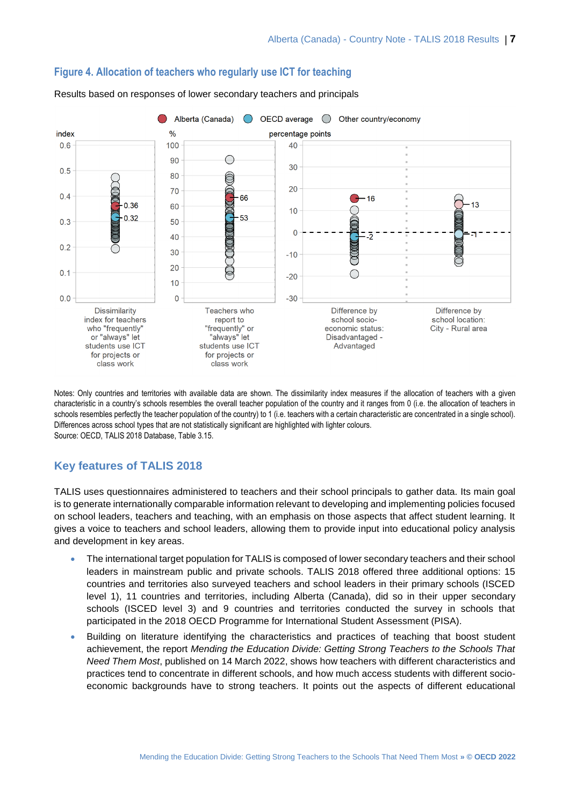

# **Figure 4. Allocation of teachers who regularly use ICT for teaching**

class work class work

Results based on responses of lower secondary teachers and principals

Notes: Only countries and territories with available data are shown. The dissimilarity index measures if the allocation of teachers with a given characteristic in a country's schools resembles the overall teacher population of the country and it ranges from 0 (i.e. the allocation of teachers in schools resembles perfectly the teacher population of the country) to 1 (i.e. teachers with a certain characteristic are concentrated in a single school). Differences across school types that are not statistically significant are highlighted with lighter colours. Source: OECD, TALIS 2018 Database, Table 3.15.

# **Key features of TALIS 2018**

TALIS uses questionnaires administered to teachers and their school principals to gather data. Its main goal is to generate internationally comparable information relevant to developing and implementing policies focused on school leaders, teachers and teaching, with an emphasis on those aspects that affect student learning. It gives a voice to teachers and school leaders, allowing them to provide input into educational policy analysis and development in key areas.

- The international target population for TALIS is composed of lower secondary teachers and their school leaders in mainstream public and private schools. TALIS 2018 offered three additional options: 15 countries and territories also surveyed teachers and school leaders in their primary schools (ISCED level 1), 11 countries and territories, including Alberta (Canada), did so in their upper secondary schools (ISCED level 3) and 9 countries and territories conducted the survey in schools that participated in the 2018 OECD Programme for International Student Assessment (PISA).
- Building on literature identifying the characteristics and practices of teaching that boost student achievement, the report *Mending the Education Divide: Getting Strong Teachers to the Schools That Need Them Most*, published on 14 March 2022, shows how teachers with different characteristics and practices tend to concentrate in different schools, and how much access students with different socioeconomic backgrounds have to strong teachers. It points out the aspects of different educational